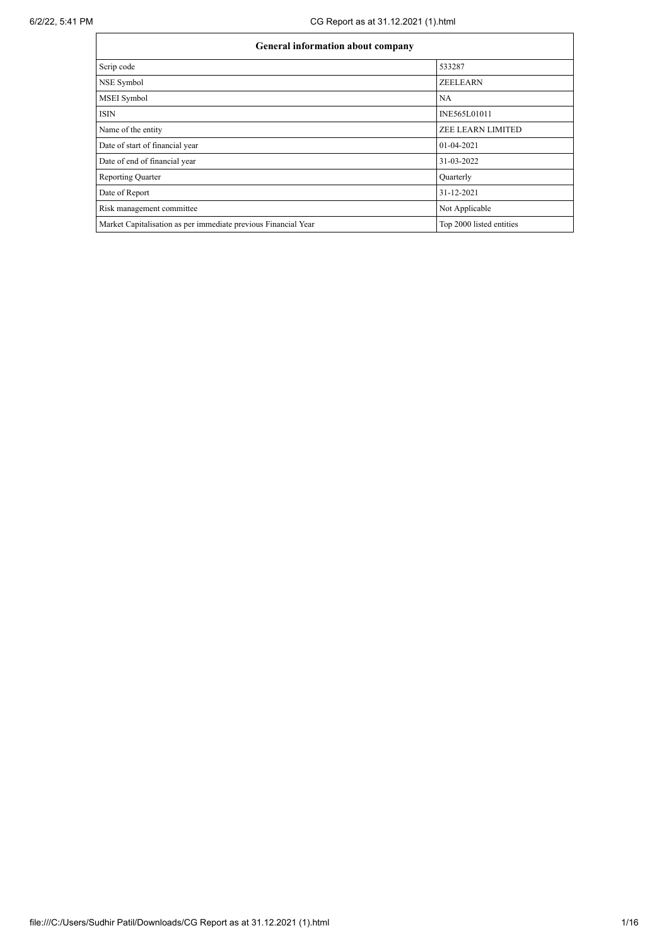| General information about company                              |                          |  |  |  |  |  |
|----------------------------------------------------------------|--------------------------|--|--|--|--|--|
| Scrip code                                                     | 533287                   |  |  |  |  |  |
| NSE Symbol                                                     | <b>ZEELEARN</b>          |  |  |  |  |  |
| MSEI Symbol                                                    | NA                       |  |  |  |  |  |
| <b>ISIN</b>                                                    | INE565L01011             |  |  |  |  |  |
| Name of the entity                                             | <b>ZEE LEARN LIMITED</b> |  |  |  |  |  |
| Date of start of financial year                                | 01-04-2021               |  |  |  |  |  |
| Date of end of financial year                                  | 31-03-2022               |  |  |  |  |  |
| <b>Reporting Quarter</b>                                       | Quarterly                |  |  |  |  |  |
| Date of Report                                                 | 31-12-2021               |  |  |  |  |  |
| Risk management committee                                      | Not Applicable           |  |  |  |  |  |
| Market Capitalisation as per immediate previous Financial Year | Top 2000 listed entities |  |  |  |  |  |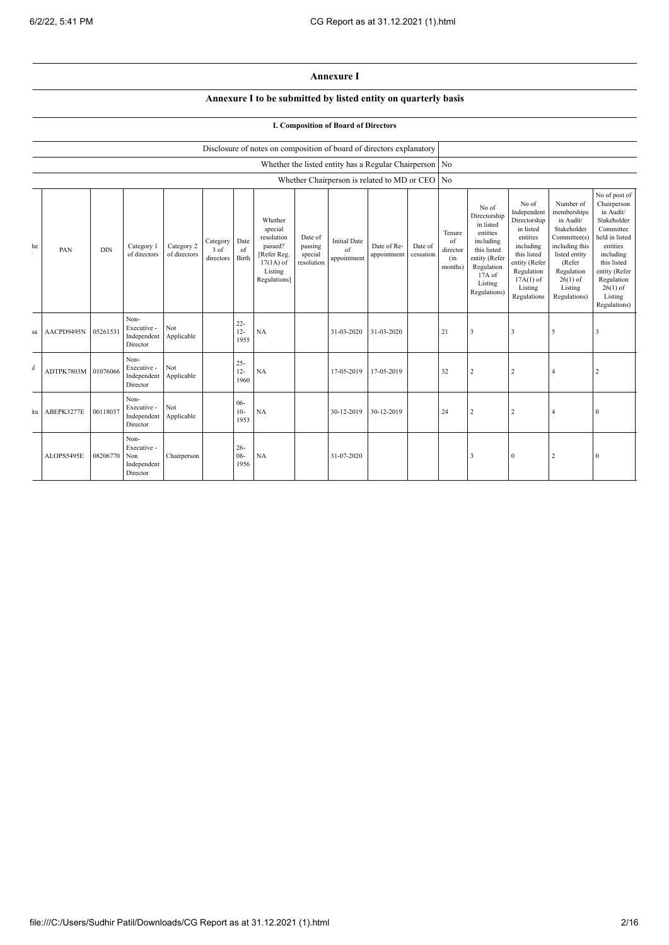## **Annexure I**

## **Annexure I to be submitted by listed entity on quarterly basis**

## **I. Composition of Board of Directors**

|              |            |            |                                                       |                            |                               |                          | Disclosure of notes on composition of board of directors explanatory                                 |                                             |                                                          |                                                |                      |                                                    |                                                                                                                                                |                                                                                                                                                                   |                                                                                                                                                                          |                                                                                                                                                                                                         |
|--------------|------------|------------|-------------------------------------------------------|----------------------------|-------------------------------|--------------------------|------------------------------------------------------------------------------------------------------|---------------------------------------------|----------------------------------------------------------|------------------------------------------------|----------------------|----------------------------------------------------|------------------------------------------------------------------------------------------------------------------------------------------------|-------------------------------------------------------------------------------------------------------------------------------------------------------------------|--------------------------------------------------------------------------------------------------------------------------------------------------------------------------|---------------------------------------------------------------------------------------------------------------------------------------------------------------------------------------------------------|
|              |            |            |                                                       |                            |                               |                          |                                                                                                      |                                             | Whether the listed entity has a Regular Chairperson   No |                                                |                      |                                                    |                                                                                                                                                |                                                                                                                                                                   |                                                                                                                                                                          |                                                                                                                                                                                                         |
|              |            |            |                                                       |                            |                               |                          |                                                                                                      |                                             |                                                          | Whether Chairperson is related to MD or CEO No |                      |                                                    |                                                                                                                                                |                                                                                                                                                                   |                                                                                                                                                                          |                                                                                                                                                                                                         |
| he           | PAN        | <b>DIN</b> | Category 1<br>of directors                            | Category 2<br>of directors | Category<br>3 of<br>directors | Date<br>of<br>Birth      | Whether<br>special<br>resolution<br>passed?<br>[Refer Reg.<br>$17(1A)$ of<br>Listing<br>Regulations] | Date of<br>passing<br>special<br>resolution | <b>Initial Date</b><br>of<br>appointment                 | Date of Re-<br>appointment                     | Date of<br>cessation | Tenure<br>$\sigma$ f<br>director<br>(in<br>months) | No of<br>Directorship<br>in listed<br>entities<br>including<br>this listed<br>entity (Refer<br>Regulation<br>17A of<br>Listing<br>Regulations) | No of<br>Independent<br>Directorship<br>in listed<br>entities<br>including<br>this listed<br>entity (Refer<br>Regulation<br>$17A(1)$ of<br>Listing<br>Regulations | Number of<br>memberships<br>in Audit/<br>Stakeholder<br>Committee(s)<br>including this<br>listed entity<br>(Refer<br>Regulation<br>$26(1)$ of<br>Listing<br>Regulations) | No of post of<br>Chairperson<br>in Audit/<br>Stakeholder<br>Committee<br>held in listed<br>entities<br>including<br>this listed<br>entity (Refer<br>Regulation<br>$26(1)$ of<br>Listing<br>Regulations) |
| sa           | AACPD9495N | 05261531   | Non-<br>Executive -<br>Independent<br>Director        | Not<br>Applicable          |                               | $22 -$<br>$12 -$<br>1955 | NA                                                                                                   |                                             | 31-03-2020                                               | 31-03-2020                                     |                      | 21                                                 | 3                                                                                                                                              | 3                                                                                                                                                                 | 5                                                                                                                                                                        | 3                                                                                                                                                                                                       |
| $\mathbf{d}$ | ADTPK7803M | 01076066   | Non-<br>Executive -<br>Independent<br>Director        | Not<br>Applicable          |                               | $25 -$<br>$12 -$<br>1960 | NA                                                                                                   |                                             | 17-05-2019                                               | 17-05-2019                                     |                      | 32                                                 | $\overline{2}$                                                                                                                                 | $\sqrt{2}$                                                                                                                                                        | $\overline{4}$                                                                                                                                                           | $\overline{2}$                                                                                                                                                                                          |
| ra           | ABEPK3277E | 00118037   | Non-<br>Executive -<br>Independent<br>Director        | Not<br>Applicable          |                               | $06 -$<br>$10-$<br>1953  | NA                                                                                                   |                                             | 30-12-2019                                               | 30-12-2019                                     |                      | 24                                                 |                                                                                                                                                | $\overline{2}$                                                                                                                                                    | $\overline{4}$                                                                                                                                                           | $\mathbf{0}$                                                                                                                                                                                            |
|              | ALOPS5495E | 08206770   | Non-<br>Executive -<br>Non<br>Independent<br>Director | Chairperson                |                               | $26 -$<br>$08 -$<br>1956 | NA                                                                                                   |                                             | 31-07-2020                                               |                                                |                      |                                                    | 3                                                                                                                                              | $\mathbf{0}$                                                                                                                                                      | $\overline{2}$                                                                                                                                                           | $\mathbf{0}$                                                                                                                                                                                            |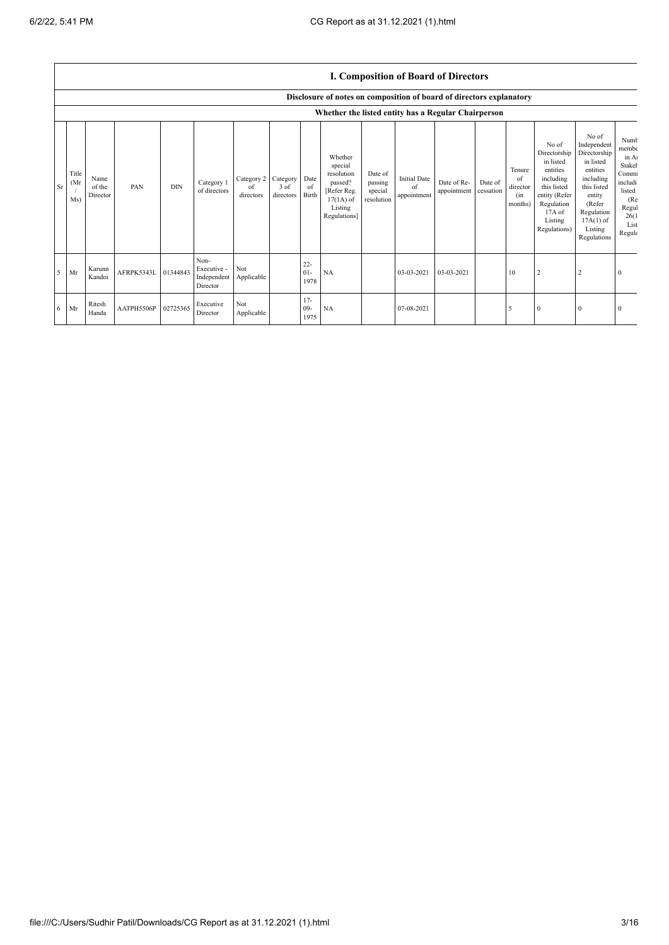|           |                      |                            |            |            |                                                |                               |                                    |                          |                                                                                                      |                                             |                                          | <b>I. Composition of Board of Directors</b> |                      |                                            |                                                                                                                                                |                                                                                                                                                                      |                                                                                                          |
|-----------|----------------------|----------------------------|------------|------------|------------------------------------------------|-------------------------------|------------------------------------|--------------------------|------------------------------------------------------------------------------------------------------|---------------------------------------------|------------------------------------------|---------------------------------------------|----------------------|--------------------------------------------|------------------------------------------------------------------------------------------------------------------------------------------------|----------------------------------------------------------------------------------------------------------------------------------------------------------------------|----------------------------------------------------------------------------------------------------------|
|           |                      |                            |            |            |                                                |                               |                                    |                          | Disclosure of notes on composition of board of directors explanatory                                 |                                             |                                          |                                             |                      |                                            |                                                                                                                                                |                                                                                                                                                                      |                                                                                                          |
|           |                      |                            |            |            |                                                |                               |                                    |                          | Whether the listed entity has a Regular Chairperson                                                  |                                             |                                          |                                             |                      |                                            |                                                                                                                                                |                                                                                                                                                                      |                                                                                                          |
| <b>Sr</b> | Title<br>(Mr)<br>Ms) | Name<br>of the<br>Director | PAN        | <b>DIN</b> | Category 1<br>of directors                     | Category 2<br>of<br>directors | Category Date<br>3 of<br>directors | of<br>Birth              | Whether<br>special<br>resolution<br>passed?<br>[Refer Reg.<br>$17(1A)$ of<br>Listing<br>Regulations] | Date of<br>passing<br>special<br>resolution | <b>Initial Date</b><br>of<br>appointment | Date of Re-<br>appointment                  | Date of<br>cessation | Tenure<br>of<br>director<br>(in<br>months) | No of<br>Directorship<br>in listed<br>entities<br>including<br>this listed<br>entity (Refer<br>Regulation<br>17A of<br>Listing<br>Regulations) | No of<br>Independent<br>Directorship<br>in listed<br>entities<br>including<br>this listed<br>entity<br>(Refer<br>Regulation<br>$17A(1)$ of<br>Listing<br>Regulations | Numb<br>membe<br>in A<br>Stakel<br>Commi<br>includi<br>listed<br>(Re<br>Regul<br>26(1)<br>List<br>Regula |
| .5        | Mr                   | Karunn<br>Kandoi           | AFRPK5343L | 01344843   | Non-<br>Executive -<br>Independent<br>Director | Not<br>Applicable             |                                    | $22 -$<br>$01 -$<br>1978 | NA                                                                                                   |                                             | 03-03-2021                               | 03-03-2021                                  |                      | 10                                         | 2                                                                                                                                              |                                                                                                                                                                      |                                                                                                          |
| 6         | Mr                   | Ritesh<br>Handa            | AATPH5506P | 02725365   | Executive<br>Director                          | Not<br>Applicable             |                                    | $17 -$<br>$09 -$<br>1975 | NA                                                                                                   |                                             | 07-08-2021                               |                                             |                      | 5                                          | $\Omega$                                                                                                                                       | $\Omega$                                                                                                                                                             |                                                                                                          |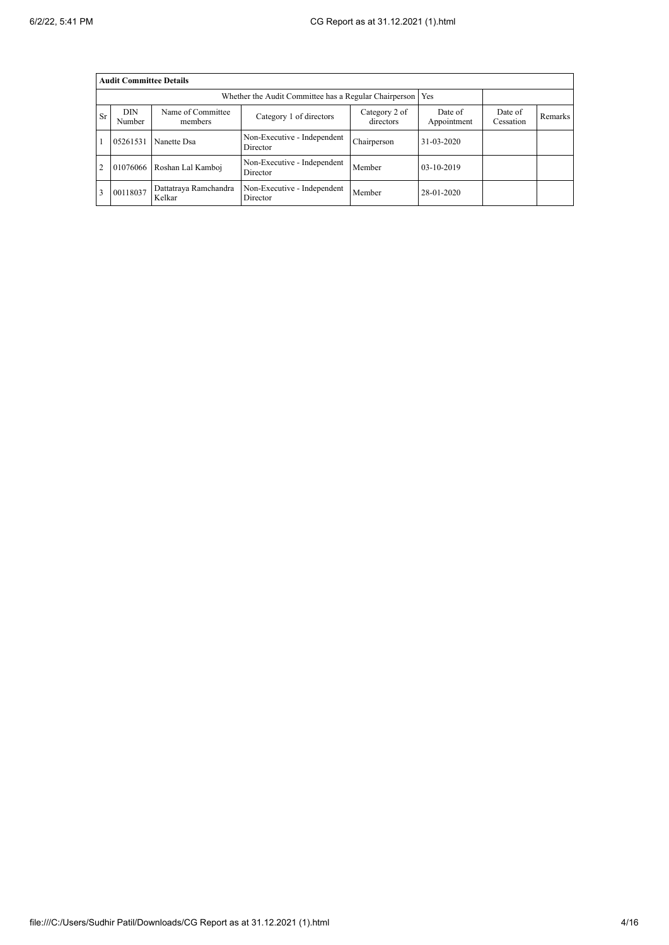|           | <b>Audit Committee Details</b> |                                 |                                                       |                            |                        |                      |         |
|-----------|--------------------------------|---------------------------------|-------------------------------------------------------|----------------------------|------------------------|----------------------|---------|
|           |                                |                                 | Whether the Audit Committee has a Regular Chairperson |                            | Yes                    |                      |         |
| <b>Sr</b> | <b>DIN</b><br>Number           | Name of Committee<br>members    | Category 1 of directors                               | Category 2 of<br>directors | Date of<br>Appointment | Date of<br>Cessation | Remarks |
|           | 05261531                       | Nanette Dsa                     | Non-Executive - Independent<br>Director               | Chairperson                | 31-03-2020             |                      |         |
| 2         | 01076066                       | Roshan Lal Kamboj               | Non-Executive - Independent<br>Director               | Member                     | 03-10-2019             |                      |         |
|           | 00118037                       | Dattatraya Ramchandra<br>Kelkar | Non-Executive - Independent<br>Director               | Member                     | 28-01-2020             |                      |         |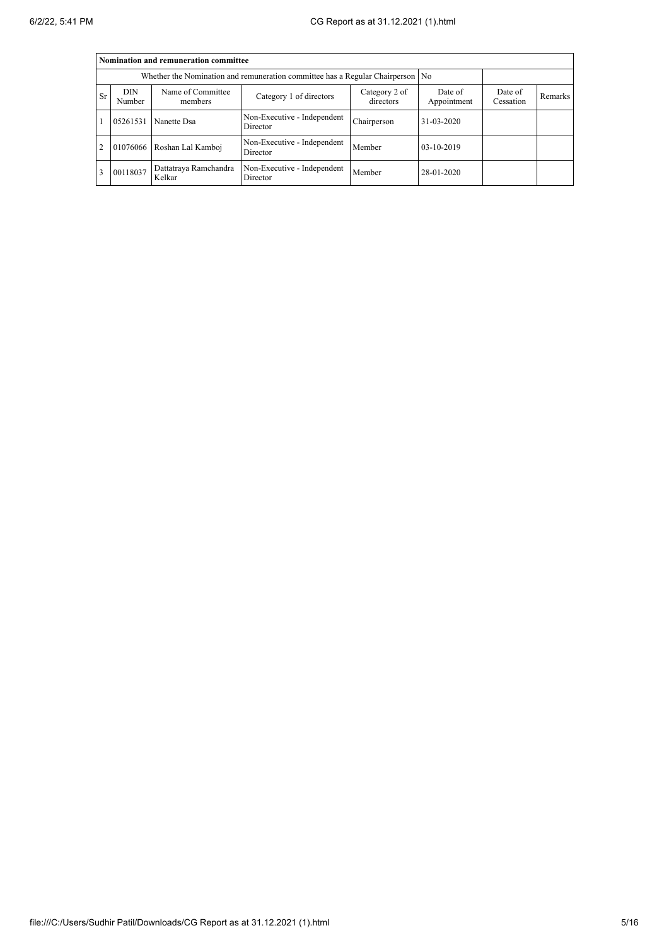|                |                      | Nomination and remuneration committee |                                                                                  |                            |                        |                      |                |
|----------------|----------------------|---------------------------------------|----------------------------------------------------------------------------------|----------------------------|------------------------|----------------------|----------------|
|                |                      |                                       | Whether the Nomination and remuneration committee has a Regular Chairperson   No |                            |                        |                      |                |
| <b>Sr</b>      | <b>DIN</b><br>Number | Name of Committee<br>members          | Category 1 of directors                                                          | Category 2 of<br>directors | Date of<br>Appointment | Date of<br>Cessation | <b>Remarks</b> |
|                | 05261531             | Nanette Dsa                           | Non-Executive - Independent<br>Director                                          | Chairperson                | $31 - 03 - 2020$       |                      |                |
| $\overline{2}$ |                      | 01076066 Roshan Lal Kamboj            | Non-Executive - Independent<br>Director                                          | Member                     | $03-10-2019$           |                      |                |
| 3              | 00118037             | Dattatraya Ramchandra<br>Kelkar       | Non-Executive - Independent<br>Director                                          | Member                     | 28-01-2020             |                      |                |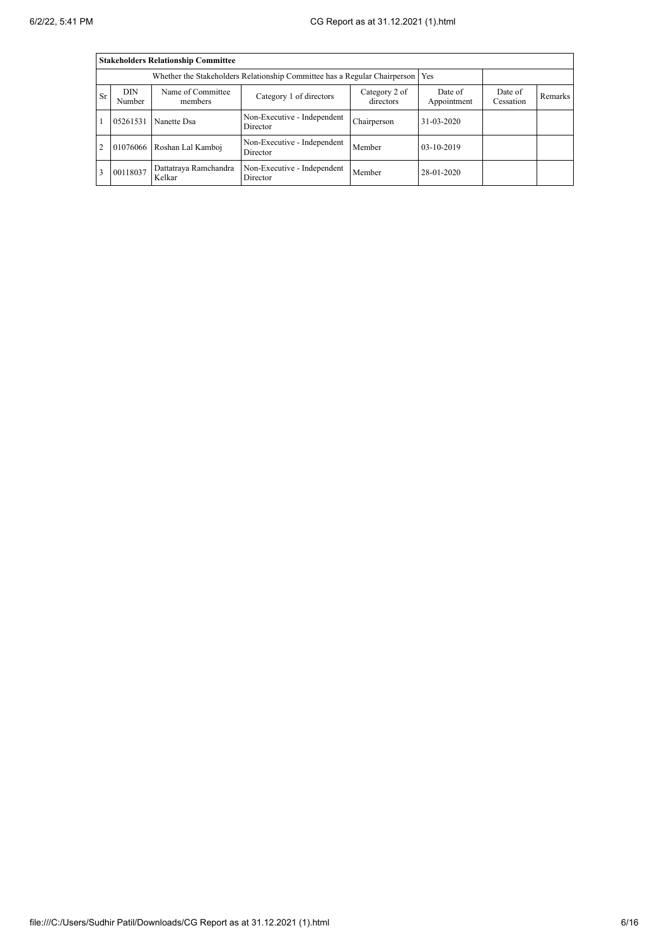|                |                      | <b>Stakeholders Relationship Committee</b> |                                                                           |                            |                        |                      |         |
|----------------|----------------------|--------------------------------------------|---------------------------------------------------------------------------|----------------------------|------------------------|----------------------|---------|
|                |                      |                                            | Whether the Stakeholders Relationship Committee has a Regular Chairperson |                            | Yes                    |                      |         |
| <b>Sr</b>      | <b>DIN</b><br>Number | Name of Committee<br>members               | Category 1 of directors                                                   | Category 2 of<br>directors | Date of<br>Appointment | Date of<br>Cessation | Remarks |
|                | 05261531             | Nanette Dsa                                | Non-Executive - Independent<br>Director                                   | Chairperson                | 31-03-2020             |                      |         |
| $\overline{2}$ | 01076066             | Roshan Lal Kamboj                          | Non-Executive - Independent<br>Director                                   | Member                     | 03-10-2019             |                      |         |
| 3              | 00118037             | Dattatraya Ramchandra<br>Kelkar            | Non-Executive - Independent<br>Director                                   | Member                     | 28-01-2020             |                      |         |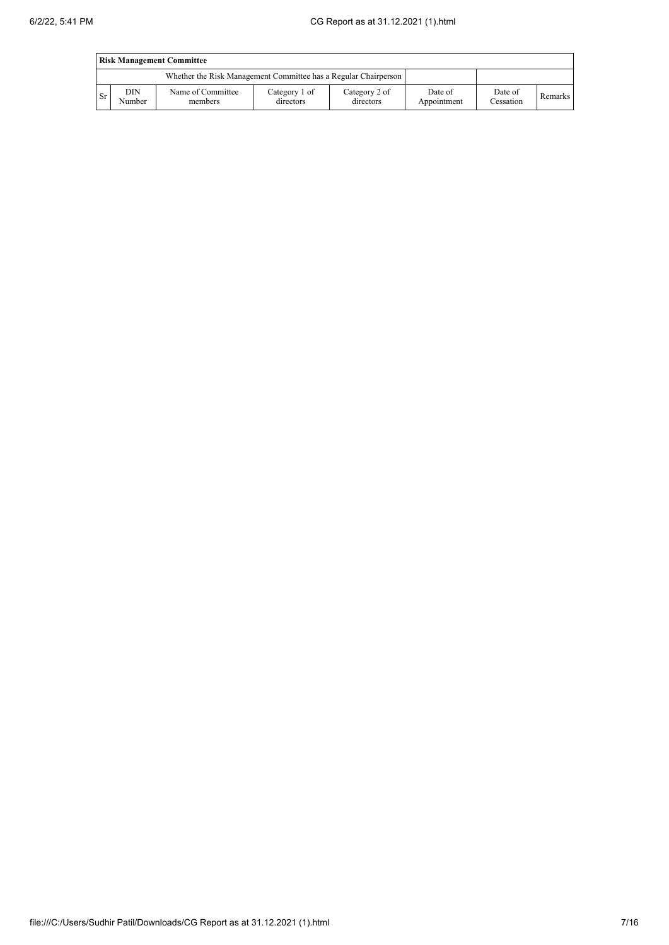|      |               | <b>Risk Management Committee</b>                                |                            |                            |                        |                      |         |
|------|---------------|-----------------------------------------------------------------|----------------------------|----------------------------|------------------------|----------------------|---------|
|      |               | Whether the Risk Management Committee has a Regular Chairperson |                            |                            |                        |                      |         |
| l Sr | DIN<br>Number | Name of Committee<br>members                                    | Category 1 of<br>directors | Category 2 of<br>directors | Date of<br>Appointment | Date of<br>Cessation | Remarks |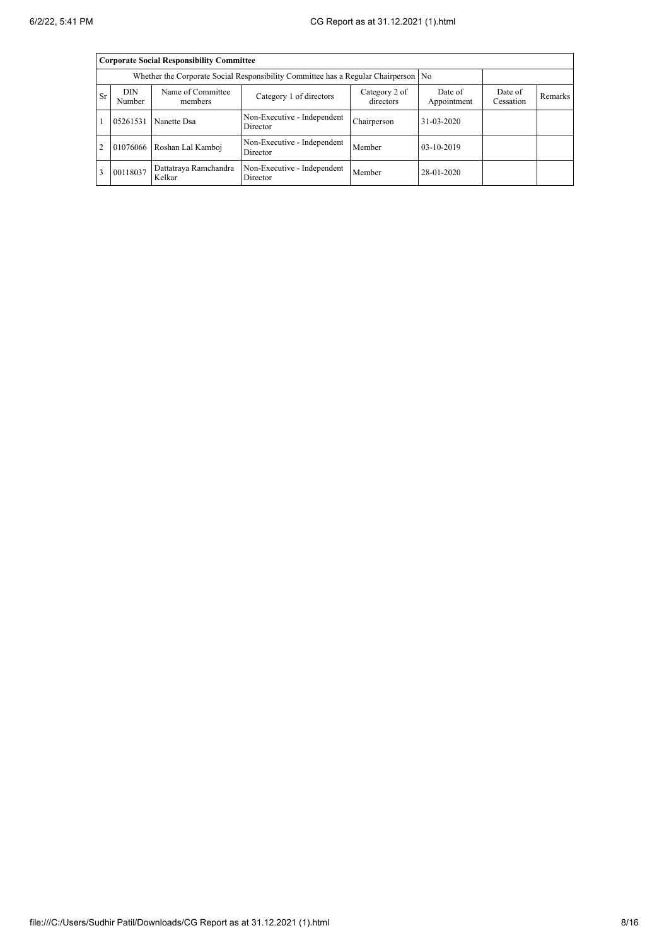|                |                      | <b>Corporate Social Responsibility Committee</b> |                                                                                      |                            |                        |                      |         |
|----------------|----------------------|--------------------------------------------------|--------------------------------------------------------------------------------------|----------------------------|------------------------|----------------------|---------|
|                |                      |                                                  | Whether the Corporate Social Responsibility Committee has a Regular Chairperson   No |                            |                        |                      |         |
| <b>Sr</b>      | <b>DIN</b><br>Number | Name of Committee<br>members                     | Category 1 of directors                                                              | Category 2 of<br>directors | Date of<br>Appointment | Date of<br>Cessation | Remarks |
|                | 05261531             | Nanette Dsa                                      | Non-Executive - Independent<br>Director                                              | Chairperson                | $31 - 03 - 2020$       |                      |         |
| $\overline{2}$ |                      | 01076066 Roshan Lal Kamboj                       | Non-Executive - Independent<br>Director                                              | Member                     | $03-10-2019$           |                      |         |
| 3              | 00118037             | Dattatraya Ramchandra<br>Kelkar                  | Non-Executive - Independent<br>Director                                              | Member                     | 28-01-2020             |                      |         |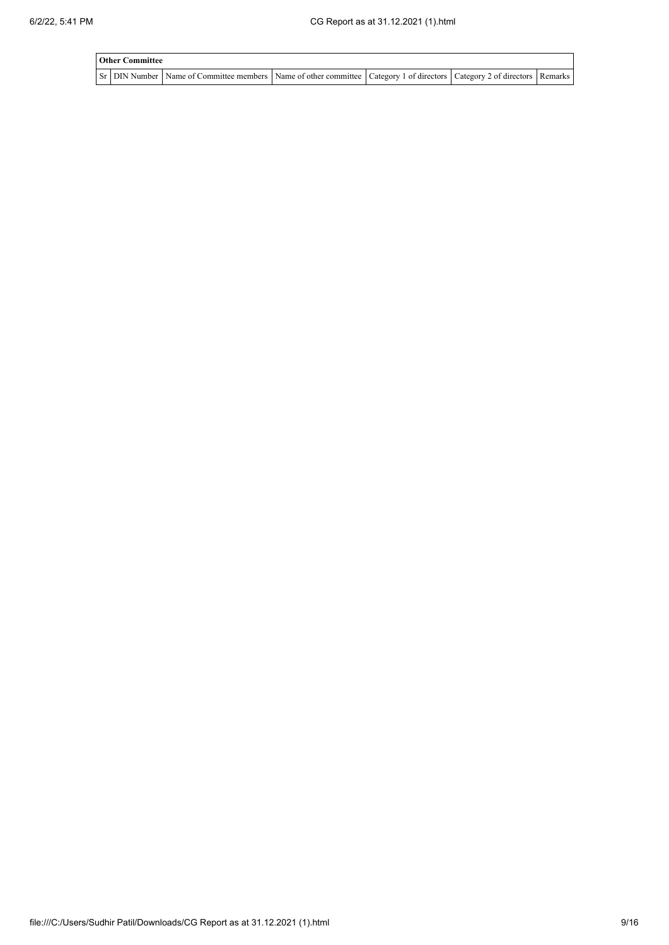| <b>Other Committee</b> |                                                                                                                                     |  |  |
|------------------------|-------------------------------------------------------------------------------------------------------------------------------------|--|--|
|                        | Sr   DIN Number   Name of Committee members   Name of other committee   Category 1 of directors   Category 2 of directors   Remarks |  |  |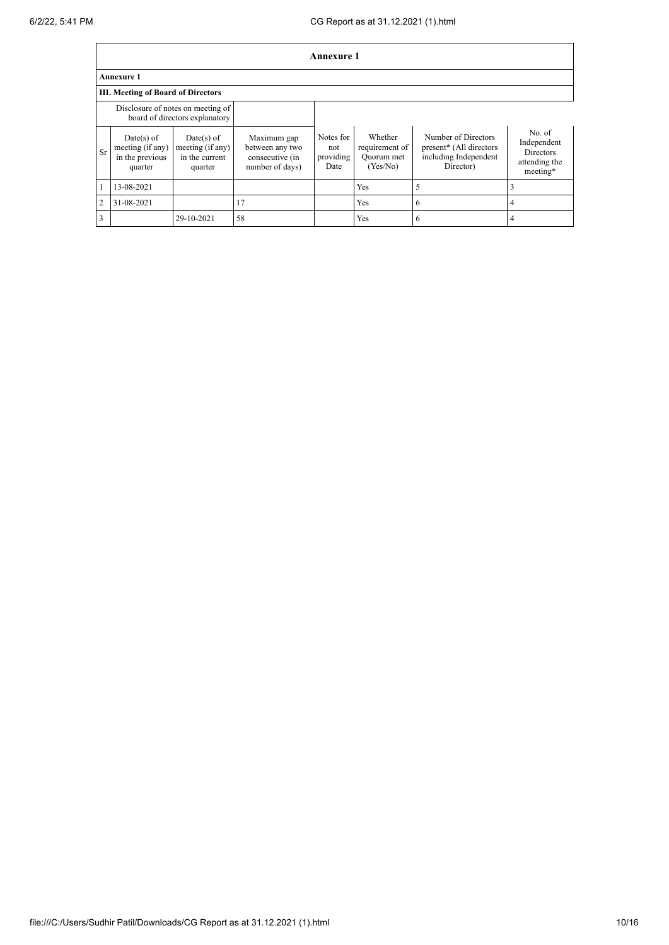|                |                                                              |                                                                     |                                                                      | <b>Annexure 1</b>                     |                                                     |                                                                                      |                                                                 |
|----------------|--------------------------------------------------------------|---------------------------------------------------------------------|----------------------------------------------------------------------|---------------------------------------|-----------------------------------------------------|--------------------------------------------------------------------------------------|-----------------------------------------------------------------|
|                | <b>Annexure 1</b>                                            |                                                                     |                                                                      |                                       |                                                     |                                                                                      |                                                                 |
|                | <b>III. Meeting of Board of Directors</b>                    |                                                                     |                                                                      |                                       |                                                     |                                                                                      |                                                                 |
|                |                                                              | Disclosure of notes on meeting of<br>board of directors explanatory |                                                                      |                                       |                                                     |                                                                                      |                                                                 |
| Sr             | Date(s) of<br>meeting (if any)<br>in the previous<br>quarter | $Date(s)$ of<br>meeting (if any)<br>in the current<br>quarter       | Maximum gap<br>between any two<br>consecutive (in<br>number of days) | Notes for<br>not<br>providing<br>Date | Whether<br>requirement of<br>Quorum met<br>(Yes/No) | Number of Directors<br>present* (All directors<br>including Independent<br>Director) | No. of<br>Independent<br>Directors<br>attending the<br>meeting* |
|                | 13-08-2021                                                   |                                                                     |                                                                      |                                       | Yes                                                 | 5                                                                                    |                                                                 |
| $\overline{2}$ | 31-08-2021                                                   |                                                                     | 17                                                                   |                                       | Yes                                                 | 6                                                                                    | 4                                                               |
| 3              |                                                              | 29-10-2021                                                          | 58                                                                   |                                       | Yes                                                 | 6                                                                                    | 4                                                               |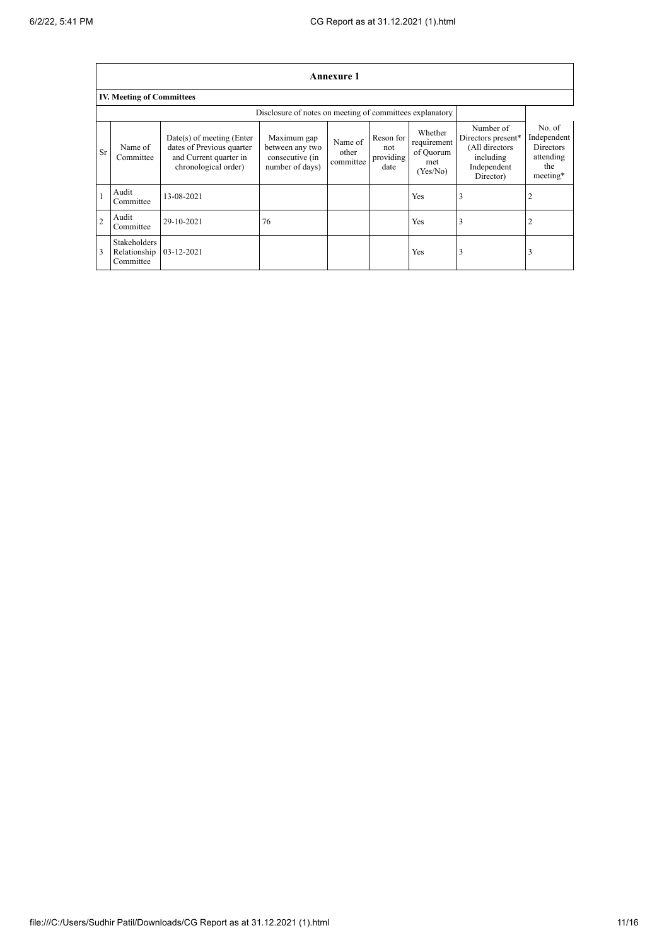|                | Annexure 1                                       |                                                                                                            |                                                                      |                               |                                       |                                                        |                                                                                            |                                                                           |
|----------------|--------------------------------------------------|------------------------------------------------------------------------------------------------------------|----------------------------------------------------------------------|-------------------------------|---------------------------------------|--------------------------------------------------------|--------------------------------------------------------------------------------------------|---------------------------------------------------------------------------|
|                | <b>IV. Meeting of Committees</b>                 |                                                                                                            |                                                                      |                               |                                       |                                                        |                                                                                            |                                                                           |
|                |                                                  |                                                                                                            | Disclosure of notes on meeting of committees explanatory             |                               |                                       |                                                        |                                                                                            |                                                                           |
| Sr             | Name of<br>Committee                             | $Date(s)$ of meeting (Enter<br>dates of Previous quarter<br>and Current quarter in<br>chronological order) | Maximum gap<br>between any two<br>consecutive (in<br>number of days) | Name of<br>other<br>committee | Reson for<br>not<br>providing<br>date | Whether<br>requirement<br>of Quorum<br>met<br>(Yes/No) | Number of<br>Directors present*<br>(All directors<br>including<br>Independent<br>Director) | No. of<br>Independent<br><b>Directors</b><br>attending<br>the<br>meeting* |
|                | Audit<br>Committee                               | 13-08-2021                                                                                                 |                                                                      |                               |                                       | Yes                                                    | 3                                                                                          |                                                                           |
| $\overline{2}$ | Audit<br>Committee                               | 29-10-2021                                                                                                 | 76                                                                   |                               |                                       | Yes                                                    | 3                                                                                          | 2                                                                         |
| 3              | <b>Stakeholders</b><br>Relationship<br>Committee | 03-12-2021                                                                                                 |                                                                      |                               |                                       | Yes                                                    | 3                                                                                          | 3                                                                         |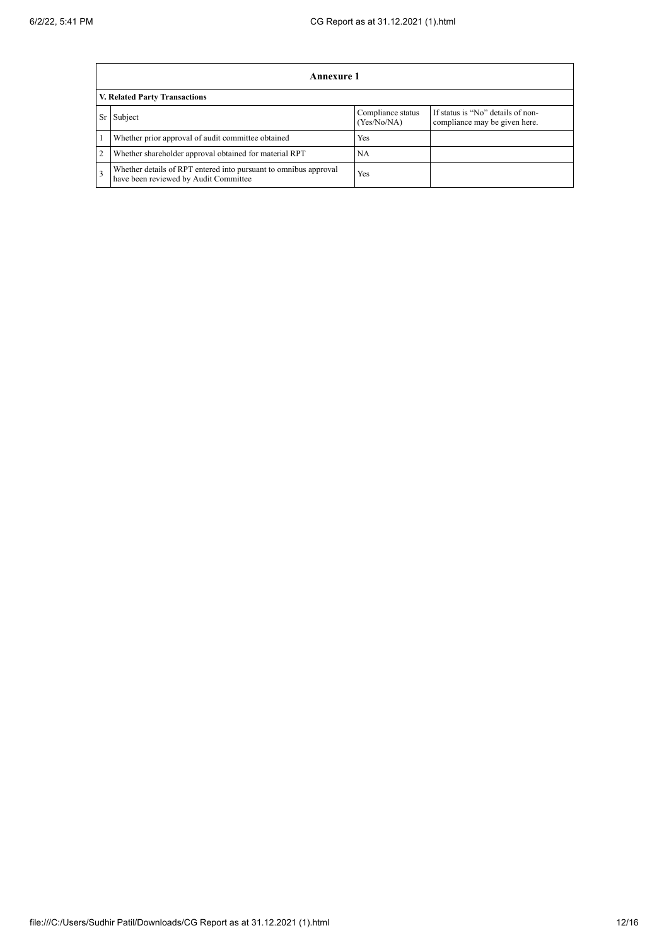|    | Annexure 1                                                                                                |                                  |                                                                    |  |  |  |
|----|-----------------------------------------------------------------------------------------------------------|----------------------------------|--------------------------------------------------------------------|--|--|--|
|    | <b>V. Related Party Transactions</b>                                                                      |                                  |                                                                    |  |  |  |
| Sr | Subject                                                                                                   | Compliance status<br>(Yes/No/NA) | If status is "No" details of non-<br>compliance may be given here. |  |  |  |
|    | Whether prior approval of audit committee obtained                                                        | Yes                              |                                                                    |  |  |  |
| 2  | Whether shareholder approval obtained for material RPT                                                    | <b>NA</b>                        |                                                                    |  |  |  |
|    | Whether details of RPT entered into pursuant to omnibus approval<br>have been reviewed by Audit Committee | Yes                              |                                                                    |  |  |  |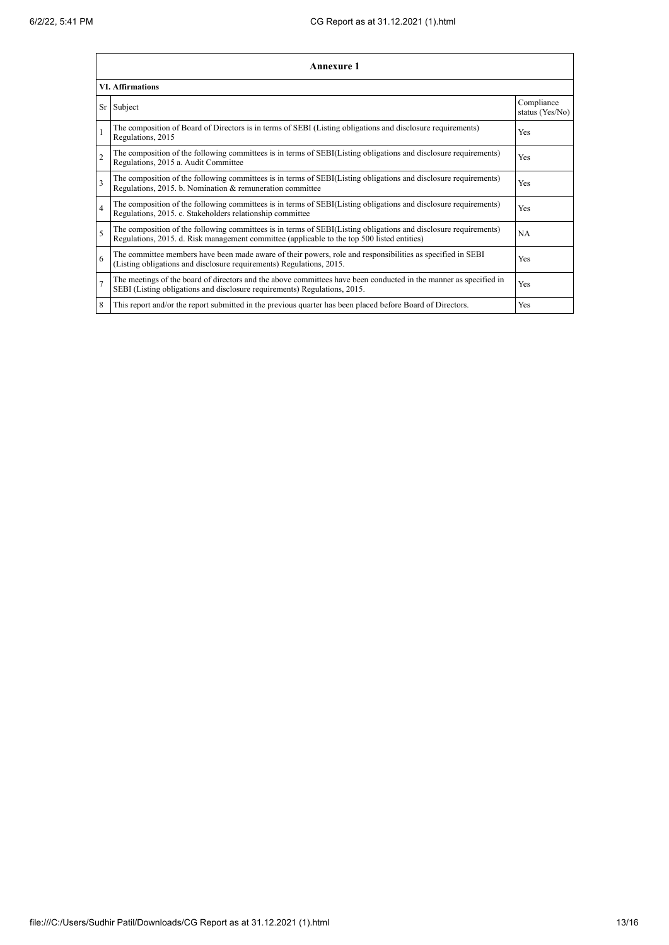|                         | Annexure 1                                                                                                                                                                                                      |                               |  |  |  |  |
|-------------------------|-----------------------------------------------------------------------------------------------------------------------------------------------------------------------------------------------------------------|-------------------------------|--|--|--|--|
| <b>VI. Affirmations</b> |                                                                                                                                                                                                                 |                               |  |  |  |  |
|                         | Sr Subject                                                                                                                                                                                                      | Compliance<br>status (Yes/No) |  |  |  |  |
|                         | The composition of Board of Directors is in terms of SEBI (Listing obligations and disclosure requirements)<br>Regulations, 2015                                                                                | Yes                           |  |  |  |  |
| $\overline{2}$          | The composition of the following committees is in terms of SEBI(Listing obligations and disclosure requirements)<br>Regulations, 2015 a. Audit Committee                                                        | Yes                           |  |  |  |  |
| 3                       | The composition of the following committees is in terms of SEBI(Listing obligations and disclosure requirements)<br>Regulations, 2015. b. Nomination & remuneration committee                                   | Yes                           |  |  |  |  |
| 4                       | The composition of the following committees is in terms of SEBI(Listing obligations and disclosure requirements)<br>Regulations, 2015. c. Stakeholders relationship committee                                   | Yes                           |  |  |  |  |
| 5                       | The composition of the following committees is in terms of SEBI(Listing obligations and disclosure requirements)<br>Regulations, 2015. d. Risk management committee (applicable to the top 500 listed entities) | <b>NA</b>                     |  |  |  |  |
| 6                       | The committee members have been made aware of their powers, role and responsibilities as specified in SEBI<br>(Listing obligations and disclosure requirements) Regulations, 2015.                              | Yes                           |  |  |  |  |
| π                       | The meetings of the board of directors and the above committees have been conducted in the manner as specified in<br>SEBI (Listing obligations and disclosure requirements) Regulations, 2015.                  | Yes                           |  |  |  |  |
| 8                       | This report and/or the report submitted in the previous quarter has been placed before Board of Directors.                                                                                                      | Yes                           |  |  |  |  |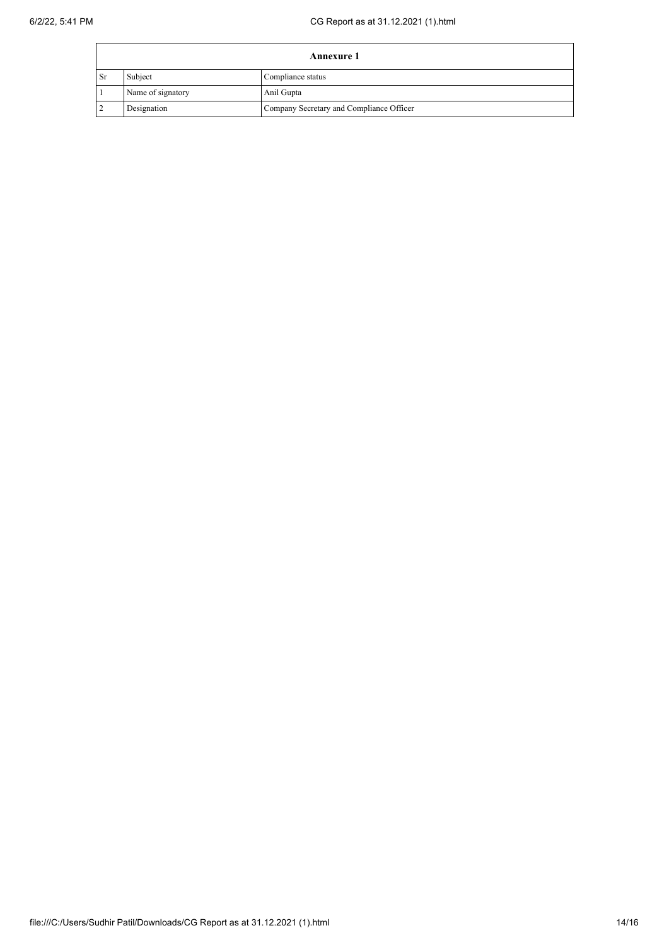| <b>Annexure 1</b> |                   |                                          |  |
|-------------------|-------------------|------------------------------------------|--|
| <sup>1</sup> Sr   | Subject           | Compliance status                        |  |
|                   | Name of signatory | Anil Gupta                               |  |
|                   | Designation       | Company Secretary and Compliance Officer |  |